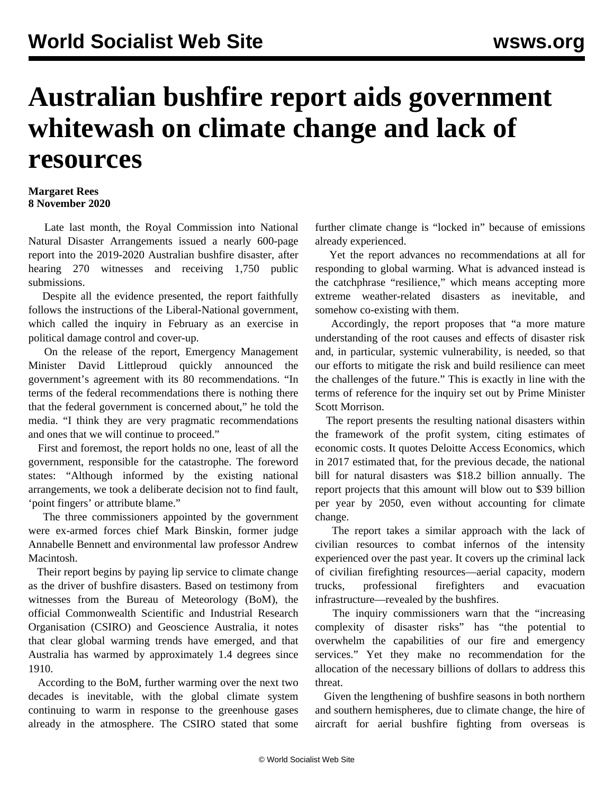## **Australian bushfire report aids government whitewash on climate change and lack of resources**

## **Margaret Rees 8 November 2020**

 Late last month, the Royal Commission into National Natural Disaster Arrangements issued a nearly 600-page report into the 2019-2020 Australian bushfire disaster, after hearing 270 witnesses and receiving 1,750 public submissions.

 Despite all the evidence presented, the report faithfully follows the instructions of the Liberal-National government, which called the inquiry in February as an exercise in political damage control and cover-up.

 On the release of the report, Emergency Management Minister David Littleproud quickly announced the government's agreement with its 80 recommendations. "In terms of the federal recommendations there is nothing there that the federal government is concerned about," he told the media. "I think they are very pragmatic recommendations and ones that we will continue to proceed."

 First and foremost, the report holds no one, least of all the government, responsible for the catastrophe. The foreword states: "Although informed by the existing national arrangements, we took a deliberate decision not to find fault, 'point fingers' or attribute blame."

 The three commissioners appointed by the government were ex-armed forces chief Mark Binskin, former judge Annabelle Bennett and environmental law professor Andrew Macintosh.

 Their report begins by paying lip service to climate change as the driver of bushfire disasters. Based on testimony from witnesses from the Bureau of Meteorology (BoM), the official Commonwealth Scientific and Industrial Research Organisation (CSIRO) and Geoscience Australia, it notes that clear global warming trends have emerged, and that Australia has warmed by approximately 1.4 degrees since 1910.

 According to the BoM, further warming over the next two decades is inevitable, with the global climate system continuing to warm in response to the greenhouse gases already in the atmosphere. The CSIRO stated that some further climate change is "locked in" because of emissions already experienced.

 Yet the report advances no recommendations at all for responding to global warming. What is advanced instead is the catchphrase "resilience," which means accepting more extreme weather-related disasters as inevitable, and somehow co-existing with them.

 Accordingly, the report proposes that "a more mature understanding of the root causes and effects of disaster risk and, in particular, systemic vulnerability, is needed, so that our efforts to mitigate the risk and build resilience can meet the challenges of the future." This is exactly in line with the [terms of reference](/en/articles/2020/02/27/bush-f27.html) for the inquiry set out by Prime Minister Scott Morrison.

 The report presents the resulting national disasters within the framework of the profit system, citing estimates of economic costs. It quotes Deloitte Access Economics, which in 2017 estimated that, for the previous decade, the national bill for natural disasters was \$18.2 billion annually. The report projects that this amount will blow out to \$39 billion per year by 2050, even without accounting for climate change.

 The report takes a similar approach with the lack of civilian resources to combat infernos of the intensity experienced over the past year. It covers up the criminal lack of civilian firefighting resources—aerial capacity, modern trucks, professional firefighters and evacuation infrastructure—revealed by the bushfires.

 The inquiry commissioners warn that the "increasing complexity of disaster risks" has "the potential to overwhelm the capabilities of our fire and emergency services." Yet they make no recommendation for the allocation of the necessary billions of dollars to address this threat.

 Given the lengthening of bushfire seasons in both northern and southern hemispheres, due to climate change, the hire of aircraft for aerial bushfire fighting from overseas is